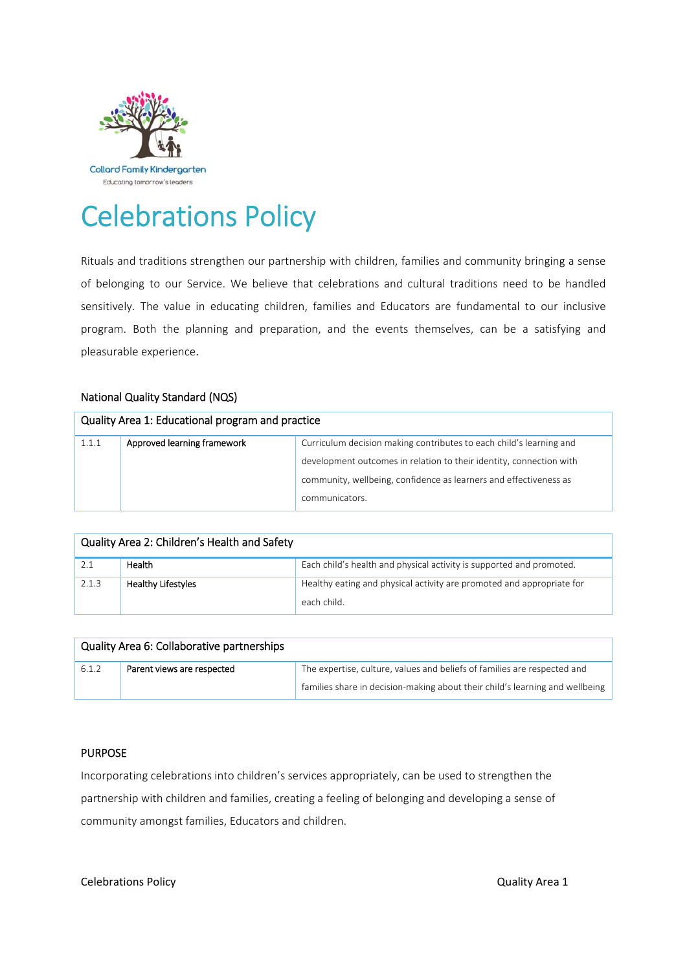

# Celebrations Policy

Rituals and traditions strengthen our partnership with children, families and community bringing a sense of belonging to our Service. We believe that celebrations and cultural traditions need to be handled sensitively. The value in educating children, families and Educators are fundamental to our inclusive program. Both the planning and preparation, and the events themselves, can be a satisfying and pleasurable experience.

## National Quality Standard (NQS)

| Quality Area 1: Educational program and practice |  |                                                                     |  |  |  |
|--------------------------------------------------|--|---------------------------------------------------------------------|--|--|--|
| Approved learning framework<br>1.1.1             |  | Curriculum decision making contributes to each child's learning and |  |  |  |
|                                                  |  | development outcomes in relation to their identity, connection with |  |  |  |
|                                                  |  | community, wellbeing, confidence as learners and effectiveness as   |  |  |  |
|                                                  |  | communicators.                                                      |  |  |  |

| Quality Area 2: Children's Health and Safety |                           |                                                                       |  |  |  |
|----------------------------------------------|---------------------------|-----------------------------------------------------------------------|--|--|--|
| 2.1                                          | <b>Health</b>             | Each child's health and physical activity is supported and promoted.  |  |  |  |
| 2.1.3                                        | <b>Healthy Lifestyles</b> | Healthy eating and physical activity are promoted and appropriate for |  |  |  |
|                                              |                           | each child.                                                           |  |  |  |

| Quality Area 6: Collaborative partnerships |                            |                                                                              |  |  |
|--------------------------------------------|----------------------------|------------------------------------------------------------------------------|--|--|
| 6.1.2                                      | Parent views are respected | The expertise, culture, values and beliefs of families are respected and     |  |  |
|                                            |                            | families share in decision-making about their child's learning and wellbeing |  |  |

# PURPOSE

Incorporating celebrations into children's services appropriately, can be used to strengthen the partnership with children and families, creating a feeling of belonging and developing a sense of community amongst families, Educators and children.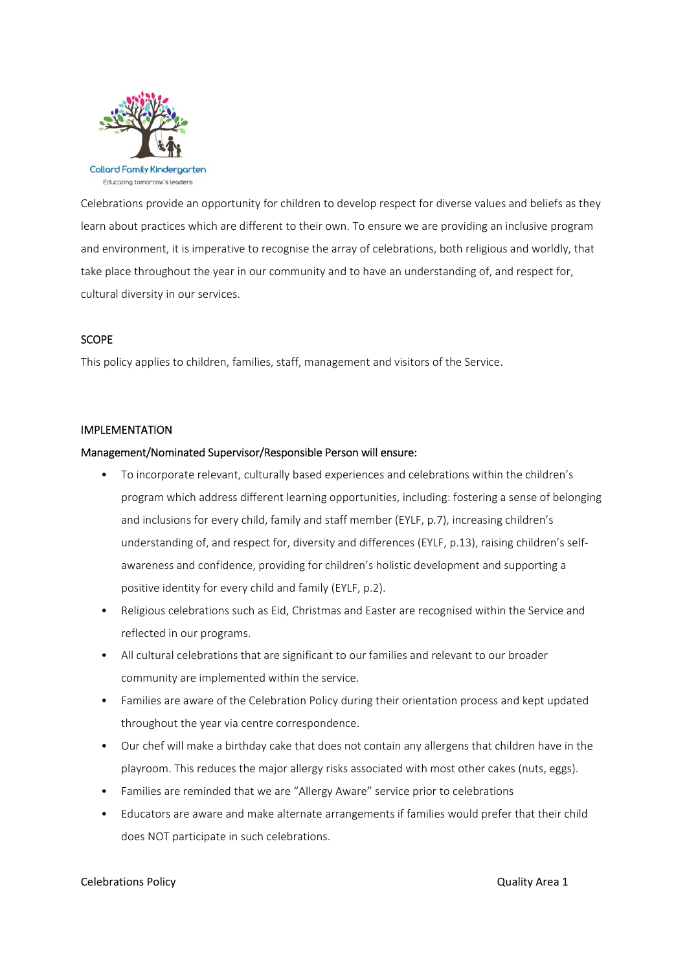

Celebrations provide an opportunity for children to develop respect for diverse values and beliefs as they learn about practices which are different to their own. To ensure we are providing an inclusive program and environment, it is imperative to recognise the array of celebrations, both religious and worldly, that take place throughout the year in our community and to have an understanding of, and respect for, cultural diversity in our services.

## **SCOPE**

This policy applies to children, families, staff, management and visitors of the Service.

#### IMPLEMENTATION

## Management/Nominated Supervisor/Responsible Person will ensure:

- To incorporate relevant, culturally based experiences and celebrations within the children's program which address different learning opportunities, including: fostering a sense of belonging and inclusions for every child, family and staff member (EYLF, p.7), increasing children's understanding of, and respect for, diversity and differences (EYLF, p.13), raising children's selfawareness and confidence, providing for children's holistic development and supporting a positive identity for every child and family (EYLF, p.2).
- Religious celebrations such as Eid, Christmas and Easter are recognised within the Service and reflected in our programs.
- All cultural celebrations that are significant to our families and relevant to our broader community are implemented within the service.
- Families are aware of the Celebration Policy during their orientation process and kept updated throughout the year via centre correspondence.
- Our chef will make a birthday cake that does not contain any allergens that children have in the playroom. This reduces the major allergy risks associated with most other cakes (nuts, eggs).
- Families are reminded that we are "Allergy Aware" service prior to celebrations
- Educators are aware and make alternate arrangements if families would prefer that their child does NOT participate in such celebrations.

#### Celebrations Policy **Department of the Celebrations Policy Celebrations Policy**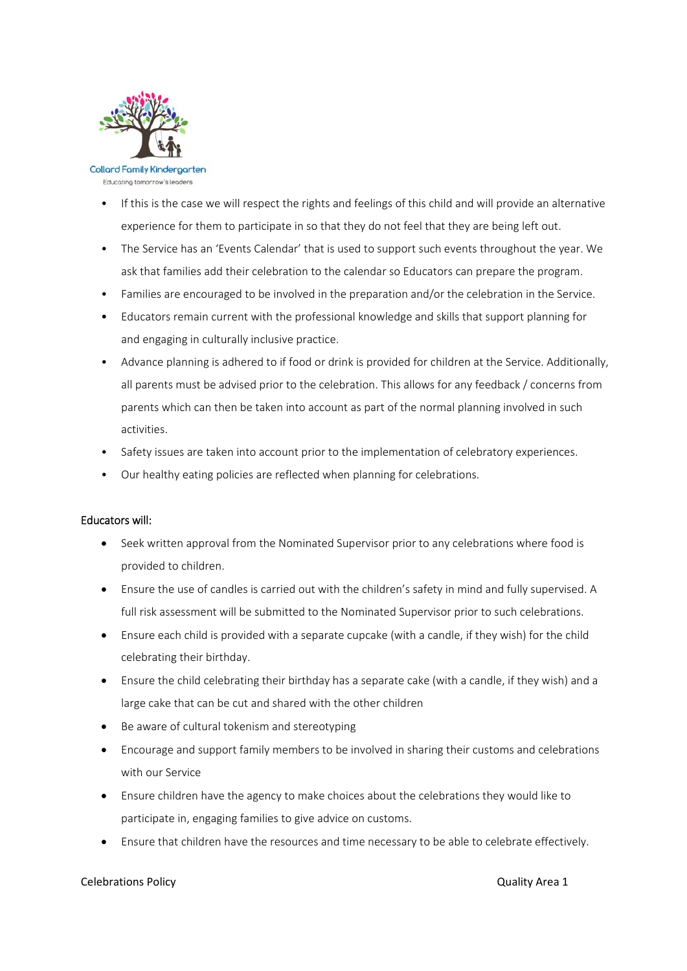

Educating tomorrow's leaders

- If this is the case we will respect the rights and feelings of this child and will provide an alternative experience for them to participate in so that they do not feel that they are being left out.
- The Service has an 'Events Calendar' that is used to support such events throughout the year. We ask that families add their celebration to the calendar so Educators can prepare the program.
- Families are encouraged to be involved in the preparation and/or the celebration in the Service.
- Educators remain current with the professional knowledge and skills that support planning for and engaging in culturally inclusive practice.
- Advance planning is adhered to if food or drink is provided for children at the Service. Additionally, all parents must be advised prior to the celebration. This allows for any feedback / concerns from parents which can then be taken into account as part of the normal planning involved in such activities.
- Safety issues are taken into account prior to the implementation of celebratory experiences.
- Our healthy eating policies are reflected when planning for celebrations.

# Educators will:

- Seek written approval from the Nominated Supervisor prior to any celebrations where food is provided to children.
- Ensure the use of candles is carried out with the children's safety in mind and fully supervised. A full risk assessment will be submitted to the Nominated Supervisor prior to such celebrations.
- Ensure each child is provided with a separate cupcake (with a candle, if they wish) for the child celebrating their birthday.
- Ensure the child celebrating their birthday has a separate cake (with a candle, if they wish) and a large cake that can be cut and shared with the other children
- Be aware of cultural tokenism and stereotyping
- Encourage and support family members to be involved in sharing their customs and celebrations with our Service
- Ensure children have the agency to make choices about the celebrations they would like to participate in, engaging families to give advice on customs.
- Ensure that children have the resources and time necessary to be able to celebrate effectively.

## Celebrations Policy **Department of the Celebrations Policy Celebrations Policy**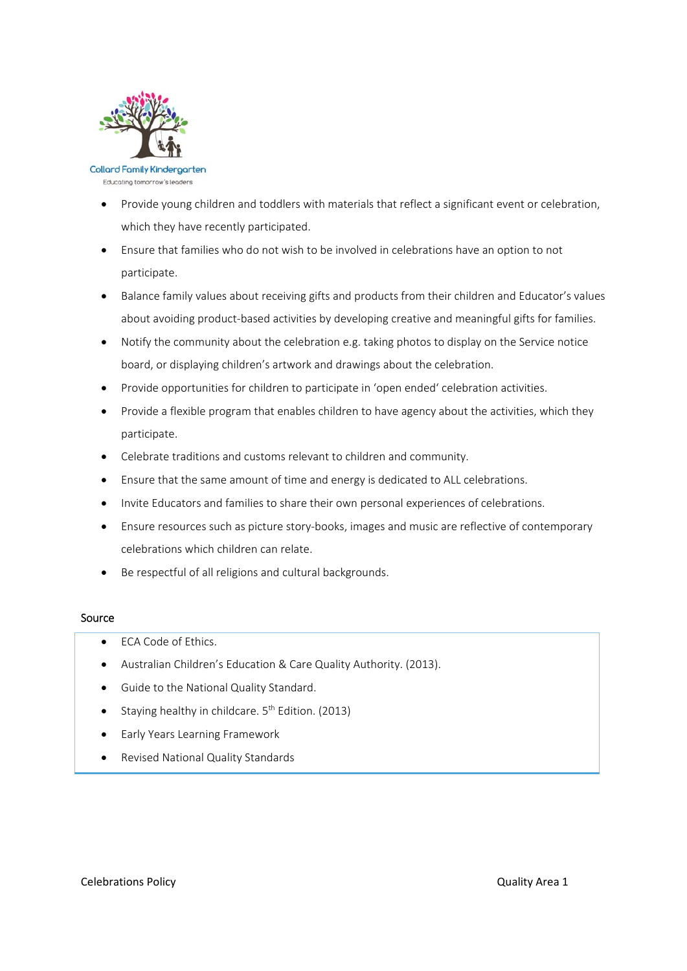

Educating tomorrow's leaders

- Provide young children and toddlers with materials that reflect a significant event or celebration, which they have recently participated.
- Ensure that families who do not wish to be involved in celebrations have an option to not participate.
- Balance family values about receiving gifts and products from their children and Educator's values about avoiding product-based activities by developing creative and meaningful gifts for families.
- Notify the community about the celebration e.g. taking photos to display on the Service notice board, or displaying children's artwork and drawings about the celebration.
- Provide opportunities for children to participate in 'open ended' celebration activities.
- Provide a flexible program that enables children to have agency about the activities, which they participate.
- Celebrate traditions and customs relevant to children and community.
- Ensure that the same amount of time and energy is dedicated to ALL celebrations.
- Invite Educators and families to share their own personal experiences of celebrations.
- Ensure resources such as picture story‐books, images and music are reflective of contemporary celebrations which children can relate.
- Be respectful of all religions and cultural backgrounds.

## Source

- FCA Code of Ethics.
- Australian Children's Education & Care Quality Authority. (2013).
- Guide to the National Quality Standard.
- Staying healthy in childcare.  $5<sup>th</sup>$  Edition. (2013)
- Early Years Learning Framework
- Revised National Quality Standards